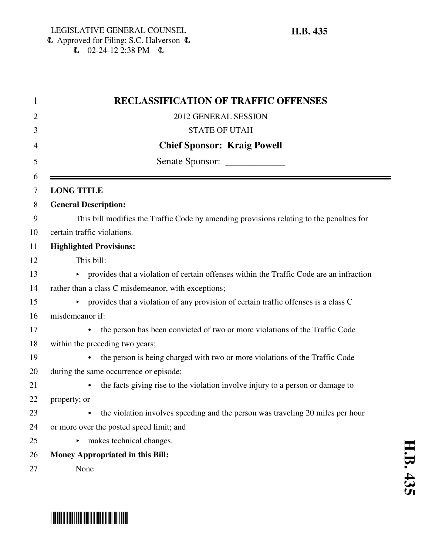| <b>RECLASSIFICATION OF TRAFFIC OFFENSES</b>                                                          |
|------------------------------------------------------------------------------------------------------|
| 2012 GENERAL SESSION                                                                                 |
| <b>STATE OF UTAH</b>                                                                                 |
| <b>Chief Sponsor: Kraig Powell</b>                                                                   |
|                                                                                                      |
|                                                                                                      |
| <b>LONG TITLE</b>                                                                                    |
| <b>General Description:</b>                                                                          |
| This bill modifies the Traffic Code by amending provisions relating to the penalties for             |
| certain traffic violations.                                                                          |
| <b>Highlighted Provisions:</b>                                                                       |
| This bill:                                                                                           |
| • provides that a violation of certain offenses within the Traffic Code are an infraction            |
| rather than a class C misdemeanor, with exceptions;                                                  |
| $\triangleright$ provides that a violation of any provision of certain traffic offenses is a class C |
| misdemeanor if:                                                                                      |
| the person has been convicted of two or more violations of the Traffic Code<br>$\bullet$             |
| within the preceding two years;                                                                      |
| the person is being charged with two or more violations of the Traffic Code                          |
| during the same occurrence or episode;                                                               |
| the facts giving rise to the violation involve injury to a person or damage to                       |
| property; or                                                                                         |
| the violation involves speeding and the person was traveling 20 miles per hour<br>$\bullet$          |
| or more over the posted speed limit; and                                                             |
| $\triangleright$ makes technical changes.                                                            |
| <b>Money Appropriated in this Bill:</b>                                                              |
| None                                                                                                 |

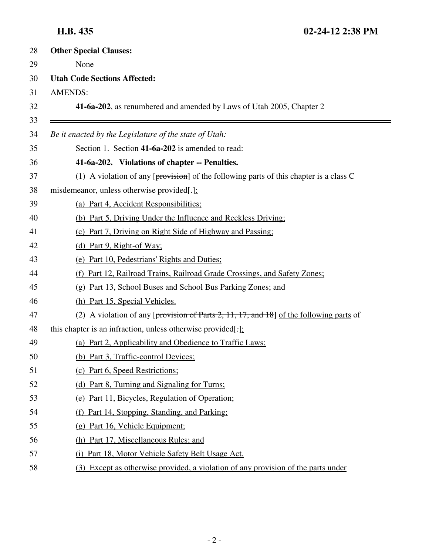| 28       | <b>Other Special Clauses:</b>                                                              |
|----------|--------------------------------------------------------------------------------------------|
| 29       | None                                                                                       |
| 30       | <b>Utah Code Sections Affected:</b>                                                        |
| 31       | <b>AMENDS:</b>                                                                             |
| 32       | 41-6a-202, as renumbered and amended by Laws of Utah 2005, Chapter 2                       |
| 33<br>34 | Be it enacted by the Legislature of the state of Utah:                                     |
| 35       | Section 1. Section 41-6a-202 is amended to read:                                           |
| 36       | 41-6a-202. Violations of chapter -- Penalties.                                             |
| 37       | (1) A violation of any [ $proxision$ ] of the following parts of this chapter is a class C |
| 38       | misdemeanor, unless otherwise provided[.]:                                                 |
| 39       | (a) Part 4, Accident Responsibilities;                                                     |
| 40       | (b) Part 5, Driving Under the Influence and Reckless Driving;                              |
| 41       | (c) Part 7, Driving on Right Side of Highway and Passing;                                  |
| 42       | (d) Part 9, Right-of Way;                                                                  |
| 43       | (e) Part 10, Pedestrians' Rights and Duties;                                               |
| 44       | (f) Part 12, Railroad Trains, Railroad Grade Crossings, and Safety Zones;                  |
| 45       | (g) Part 13, School Buses and School Bus Parking Zones; and                                |
| 46       | (h) Part 15, Special Vehicles.                                                             |
| 47       | (2) A violation of any [provision of Parts 2, 11, 17, and 18] of the following parts of    |
| 48       | this chapter is an infraction, unless otherwise provided[ $:$ ]:                           |
| 49       | (a) Part 2, Applicability and Obedience to Traffic Laws;                                   |
| 50       | (b) Part 3, Traffic-control Devices;                                                       |
| 51       | (c) Part 6, Speed Restrictions;                                                            |
| 52       | (d) Part 8, Turning and Signaling for Turns;                                               |
| 53       | (e) Part 11, Bicycles, Regulation of Operation;                                            |
| 54       | (f) Part 14, Stopping, Standing, and Parking;                                              |
| 55       | (g) Part 16, Vehicle Equipment;                                                            |
| 56       | (h) Part 17, Miscellaneous Rules; and                                                      |
| 57       | (i) Part 18, Motor Vehicle Safety Belt Usage Act.                                          |
| 58       | (3) Except as otherwise provided, a violation of any provision of the parts under          |